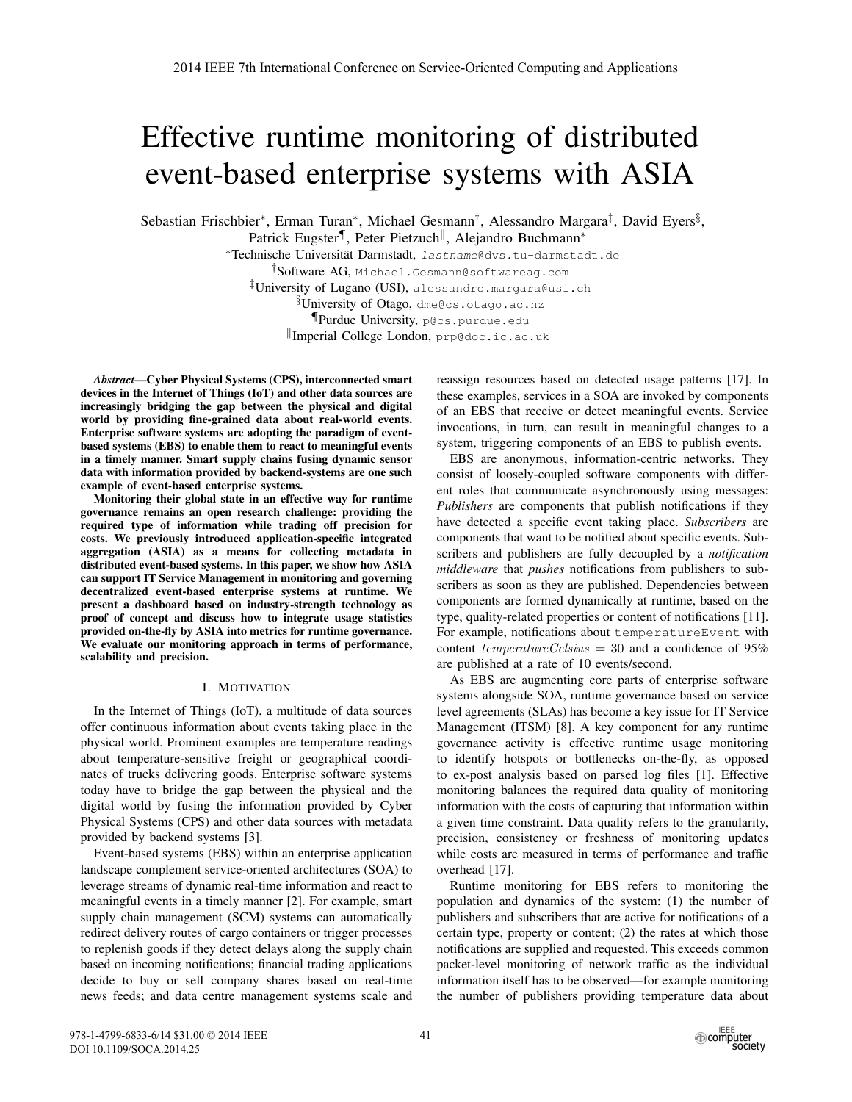# Effective runtime monitoring of distributed event-based enterprise systems with ASIA

Sebastian Frischbier∗, Erman Turan∗, Michael Gesmann†, Alessandro Margara‡, David Eyers§, Patrick Eugster¶, Peter Pietzuch<sup>||</sup>, Alejandro Buchmann<sup>∗</sup>

> \*Technische Universität Darmstadt, *lastname@dvs.tu-darmstadt.de* †Software AG, Michael.Gesmann@softwareag.com ‡University of Lugano (USI), alessandro.margara@usi.ch §University of Otago, dme@cs.otago.ac.nz ¶Purdue University, p@cs.purdue.edu Imperial College London, prp@doc.ic.ac.uk

*Abstract*—Cyber Physical Systems (CPS), interconnected smart devices in the Internet of Things (IoT) and other data sources are increasingly bridging the gap between the physical and digital world by providing fine-grained data about real-world events. Enterprise software systems are adopting the paradigm of eventbased systems (EBS) to enable them to react to meaningful events in a timely manner. Smart supply chains fusing dynamic sensor data with information provided by backend-systems are one such example of event-based enterprise systems.

Monitoring their global state in an effective way for runtime governance remains an open research challenge: providing the required type of information while trading off precision for costs. We previously introduced application-specific integrated aggregation (ASIA) as a means for collecting metadata in distributed event-based systems. In this paper, we show how ASIA can support IT Service Management in monitoring and governing decentralized event-based enterprise systems at runtime. We present a dashboard based on industry-strength technology as proof of concept and discuss how to integrate usage statistics provided on-the-fly by ASIA into metrics for runtime governance. We evaluate our monitoring approach in terms of performance, scalability and precision.

# I. MOTIVATION

In the Internet of Things (IoT), a multitude of data sources offer continuous information about events taking place in the physical world. Prominent examples are temperature readings about temperature-sensitive freight or geographical coordinates of trucks delivering goods. Enterprise software systems today have to bridge the gap between the physical and the digital world by fusing the information provided by Cyber Physical Systems (CPS) and other data sources with metadata provided by backend systems [3].

Event-based systems (EBS) within an enterprise application landscape complement service-oriented architectures (SOA) to leverage streams of dynamic real-time information and react to meaningful events in a timely manner [2]. For example, smart supply chain management (SCM) systems can automatically redirect delivery routes of cargo containers or trigger processes to replenish goods if they detect delays along the supply chain based on incoming notifications; financial trading applications decide to buy or sell company shares based on real-time news feeds; and data centre management systems scale and reassign resources based on detected usage patterns [17]. In these examples, services in a SOA are invoked by components of an EBS that receive or detect meaningful events. Service invocations, in turn, can result in meaningful changes to a system, triggering components of an EBS to publish events.

EBS are anonymous, information-centric networks. They consist of loosely-coupled software components with different roles that communicate asynchronously using messages: *Publishers* are components that publish notifications if they have detected a specific event taking place. *Subscribers* are components that want to be notified about specific events. Subscribers and publishers are fully decoupled by a *notification middleware* that *pushes* notifications from publishers to subscribers as soon as they are published. Dependencies between components are formed dynamically at runtime, based on the type, quality-related properties or content of notifications [11]. For example, notifications about temperatureEvent with content *temperatureCelsius* = 30 and a confidence of 95% are published at a rate of 10 events/second.

As EBS are augmenting core parts of enterprise software systems alongside SOA, runtime governance based on service level agreements (SLAs) has become a key issue for IT Service Management (ITSM) [8]. A key component for any runtime governance activity is effective runtime usage monitoring to identify hotspots or bottlenecks on-the-fly, as opposed to ex-post analysis based on parsed log files [1]. Effective monitoring balances the required data quality of monitoring information with the costs of capturing that information within a given time constraint. Data quality refers to the granularity, precision, consistency or freshness of monitoring updates while costs are measured in terms of performance and traffic overhead [17].

Runtime monitoring for EBS refers to monitoring the population and dynamics of the system: (1) the number of publishers and subscribers that are active for notifications of a certain type, property or content; (2) the rates at which those notifications are supplied and requested. This exceeds common packet-level monitoring of network traffic as the individual information itself has to be observed—for example monitoring the number of publishers providing temperature data about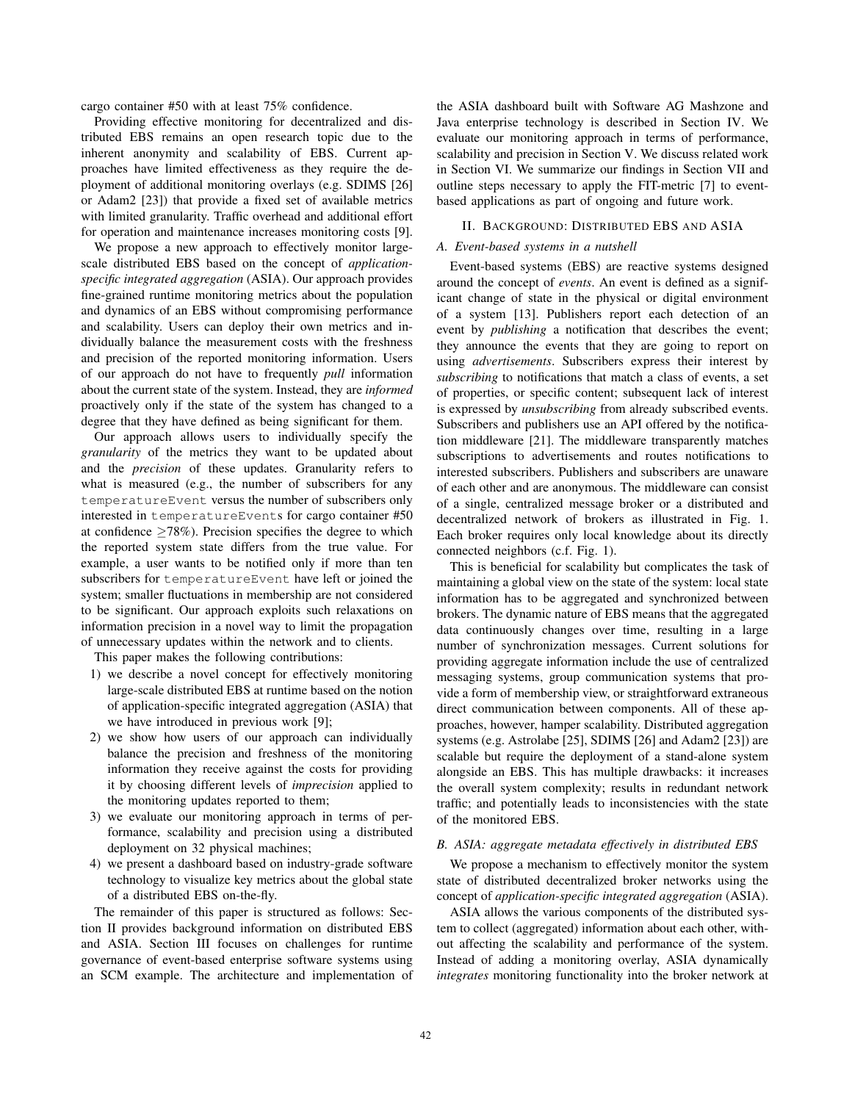cargo container #50 with at least 75% confidence.

Providing effective monitoring for decentralized and distributed EBS remains an open research topic due to the inherent anonymity and scalability of EBS. Current approaches have limited effectiveness as they require the deployment of additional monitoring overlays (e.g. SDIMS [26] or Adam2 [23]) that provide a fixed set of available metrics with limited granularity. Traffic overhead and additional effort for operation and maintenance increases monitoring costs [9].

We propose a new approach to effectively monitor largescale distributed EBS based on the concept of *applicationspecific integrated aggregation* (ASIA). Our approach provides fine-grained runtime monitoring metrics about the population and dynamics of an EBS without compromising performance and scalability. Users can deploy their own metrics and individually balance the measurement costs with the freshness and precision of the reported monitoring information. Users of our approach do not have to frequently *pull* information about the current state of the system. Instead, they are *informed* proactively only if the state of the system has changed to a degree that they have defined as being significant for them.

Our approach allows users to individually specify the *granularity* of the metrics they want to be updated about and the *precision* of these updates. Granularity refers to what is measured (e.g., the number of subscribers for any temperatureEvent versus the number of subscribers only interested in temperatureEvents for cargo container #50 at confidence  $\geq$ 78%). Precision specifies the degree to which the reported system state differs from the true value. For example, a user wants to be notified only if more than ten subscribers for temperatureEvent have left or joined the system; smaller fluctuations in membership are not considered to be significant. Our approach exploits such relaxations on information precision in a novel way to limit the propagation of unnecessary updates within the network and to clients.

This paper makes the following contributions:

- 1) we describe a novel concept for effectively monitoring large-scale distributed EBS at runtime based on the notion of application-specific integrated aggregation (ASIA) that we have introduced in previous work [9];
- 2) we show how users of our approach can individually balance the precision and freshness of the monitoring information they receive against the costs for providing it by choosing different levels of *imprecision* applied to the monitoring updates reported to them;
- 3) we evaluate our monitoring approach in terms of performance, scalability and precision using a distributed deployment on 32 physical machines;
- 4) we present a dashboard based on industry-grade software technology to visualize key metrics about the global state of a distributed EBS on-the-fly.

The remainder of this paper is structured as follows: Section II provides background information on distributed EBS and ASIA. Section III focuses on challenges for runtime governance of event-based enterprise software systems using an SCM example. The architecture and implementation of

the ASIA dashboard built with Software AG Mashzone and Java enterprise technology is described in Section IV. We evaluate our monitoring approach in terms of performance, scalability and precision in Section V. We discuss related work in Section VI. We summarize our findings in Section VII and outline steps necessary to apply the FIT-metric [7] to eventbased applications as part of ongoing and future work.

## II. BACKGROUND: DISTRIBUTED EBS AND ASIA

# *A. Event-based systems in a nutshell*

Event-based systems (EBS) are reactive systems designed around the concept of *events*. An event is defined as a significant change of state in the physical or digital environment of a system [13]. Publishers report each detection of an event by *publishing* a notification that describes the event; they announce the events that they are going to report on using *advertisements*. Subscribers express their interest by *subscribing* to notifications that match a class of events, a set of properties, or specific content; subsequent lack of interest is expressed by *unsubscribing* from already subscribed events. Subscribers and publishers use an API offered by the notification middleware [21]. The middleware transparently matches subscriptions to advertisements and routes notifications to interested subscribers. Publishers and subscribers are unaware of each other and are anonymous. The middleware can consist of a single, centralized message broker or a distributed and decentralized network of brokers as illustrated in Fig. 1. Each broker requires only local knowledge about its directly connected neighbors (c.f. Fig. 1).

This is beneficial for scalability but complicates the task of maintaining a global view on the state of the system: local state information has to be aggregated and synchronized between brokers. The dynamic nature of EBS means that the aggregated data continuously changes over time, resulting in a large number of synchronization messages. Current solutions for providing aggregate information include the use of centralized messaging systems, group communication systems that provide a form of membership view, or straightforward extraneous direct communication between components. All of these approaches, however, hamper scalability. Distributed aggregation systems (e.g. Astrolabe [25], SDIMS [26] and Adam2 [23]) are scalable but require the deployment of a stand-alone system alongside an EBS. This has multiple drawbacks: it increases the overall system complexity; results in redundant network traffic; and potentially leads to inconsistencies with the state of the monitored EBS.

## *B. ASIA: aggregate metadata effectively in distributed EBS*

We propose a mechanism to effectively monitor the system state of distributed decentralized broker networks using the concept of *application-specific integrated aggregation* (ASIA).

ASIA allows the various components of the distributed system to collect (aggregated) information about each other, without affecting the scalability and performance of the system. Instead of adding a monitoring overlay, ASIA dynamically *integrates* monitoring functionality into the broker network at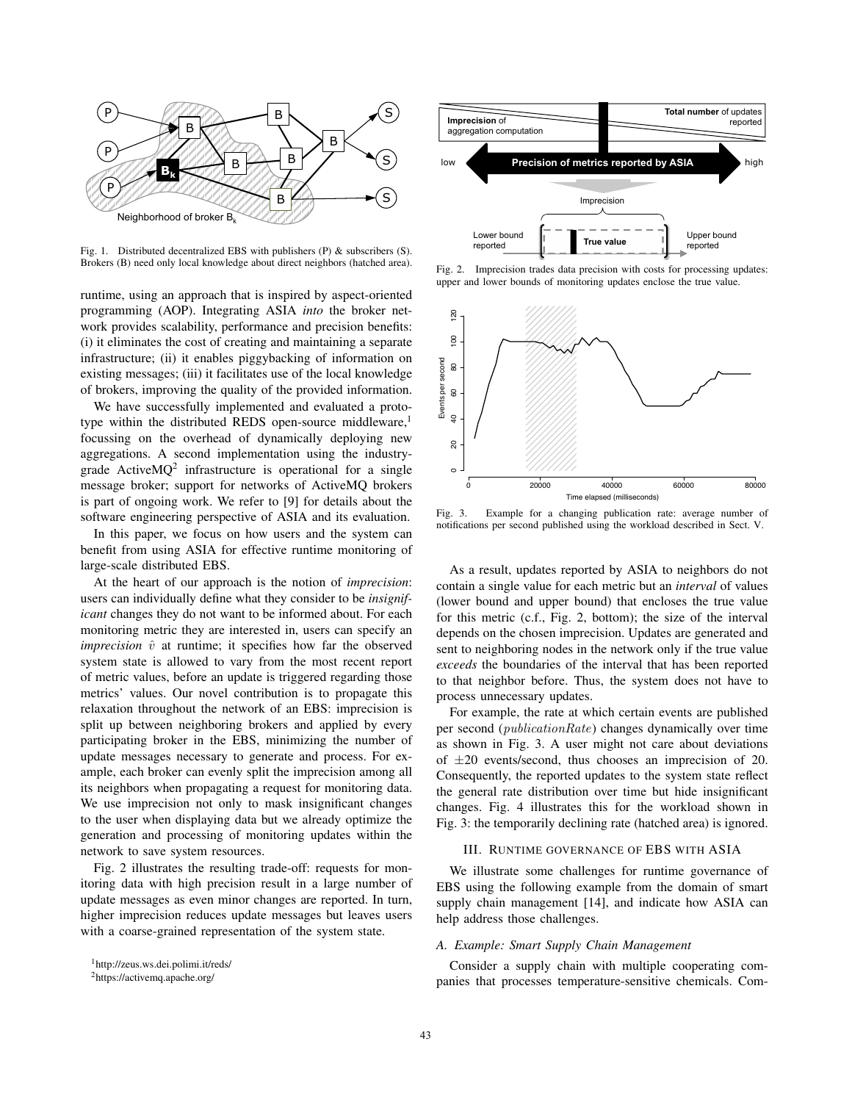

Fig. 1. Distributed decentralized EBS with publishers (P) & subscribers (S). Brokers (B) need only local knowledge about direct neighbors (hatched area).

runtime, using an approach that is inspired by aspect-oriented programming (AOP). Integrating ASIA *into* the broker network provides scalability, performance and precision benefits: (i) it eliminates the cost of creating and maintaining a separate infrastructure; (ii) it enables piggybacking of information on existing messages; (iii) it facilitates use of the local knowledge of brokers, improving the quality of the provided information.

We have successfully implemented and evaluated a prototype within the distributed REDS open-source middleware, $<sup>1</sup>$ </sup> focussing on the overhead of dynamically deploying new aggregations. A second implementation using the industrygrade Active $MQ<sup>2</sup>$  infrastructure is operational for a single message broker; support for networks of ActiveMQ brokers is part of ongoing work. We refer to [9] for details about the software engineering perspective of ASIA and its evaluation.

In this paper, we focus on how users and the system can benefit from using ASIA for effective runtime monitoring of large-scale distributed EBS.

At the heart of our approach is the notion of *imprecision*: users can individually define what they consider to be *insignificant* changes they do not want to be informed about. For each monitoring metric they are interested in, users can specify an *imprecision*  $\hat{v}$  at runtime; it specifies how far the observed system state is allowed to vary from the most recent report of metric values, before an update is triggered regarding those metrics' values. Our novel contribution is to propagate this relaxation throughout the network of an EBS: imprecision is split up between neighboring brokers and applied by every participating broker in the EBS, minimizing the number of update messages necessary to generate and process. For example, each broker can evenly split the imprecision among all its neighbors when propagating a request for monitoring data. We use imprecision not only to mask insignificant changes to the user when displaying data but we already optimize the generation and processing of monitoring updates within the network to save system resources.

Fig. 2 illustrates the resulting trade-off: requests for monitoring data with high precision result in a large number of update messages as even minor changes are reported. In turn, higher imprecision reduces update messages but leaves users with a coarse-grained representation of the system state.



<sup>2</sup>https://activemq.apache.org/



Fig. 2. Imprecision trades data precision with costs for processing updates: upper and lower bounds of monitoring updates enclose the true value.



Fig. 3. Example for a changing publication rate: average number of notifications per second published using the workload described in Sect. V.

As a result, updates reported by ASIA to neighbors do not contain a single value for each metric but an *interval* of values (lower bound and upper bound) that encloses the true value for this metric (c.f., Fig. 2, bottom); the size of the interval depends on the chosen imprecision. Updates are generated and sent to neighboring nodes in the network only if the true value *exceeds* the boundaries of the interval that has been reported to that neighbor before. Thus, the system does not have to process unnecessary updates.

For example, the rate at which certain events are published per second (*publicationRate*) changes dynamically over time as shown in Fig. 3. A user might not care about deviations of  $\pm 20$  events/second, thus chooses an imprecision of 20. Consequently, the reported updates to the system state reflect the general rate distribution over time but hide insignificant changes. Fig. 4 illustrates this for the workload shown in Fig. 3: the temporarily declining rate (hatched area) is ignored.

# III. RUNTIME GOVERNANCE OF EBS WITH ASIA

We illustrate some challenges for runtime governance of EBS using the following example from the domain of smart supply chain management [14], and indicate how ASIA can help address those challenges.

# *A. Example: Smart Supply Chain Management*

Consider a supply chain with multiple cooperating companies that processes temperature-sensitive chemicals. Com-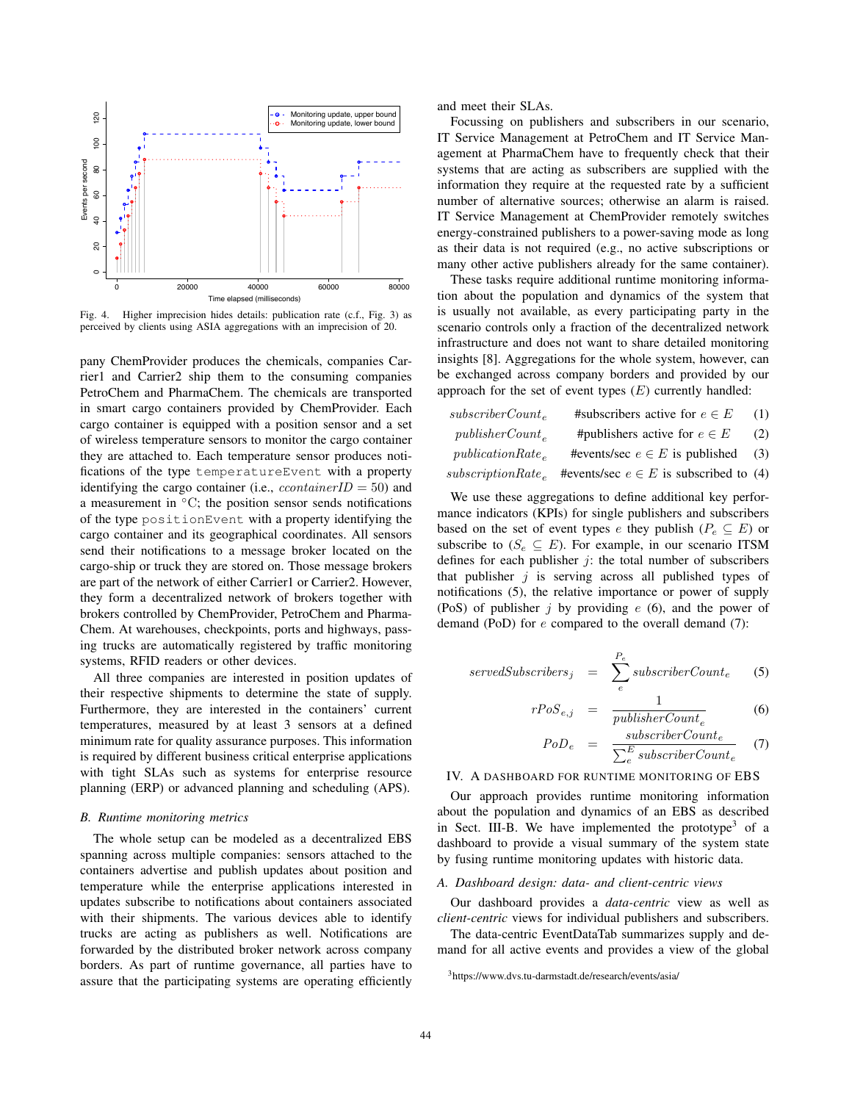

Fig. 4. Higher imprecision hides details: publication rate (c.f., Fig. 3) as perceived by clients using ASIA aggregations with an imprecision of 20.

pany ChemProvider produces the chemicals, companies Carrier1 and Carrier2 ship them to the consuming companies PetroChem and PharmaChem. The chemicals are transported in smart cargo containers provided by ChemProvider. Each cargo container is equipped with a position sensor and a set of wireless temperature sensors to monitor the cargo container they are attached to. Each temperature sensor produces notifications of the type temperatureEvent with a property identifying the cargo container (i.e.,  $\text{constant} = 50$ ) and a measurement in ◦C; the position sensor sends notifications of the type positionEvent with a property identifying the cargo container and its geographical coordinates. All sensors send their notifications to a message broker located on the cargo-ship or truck they are stored on. Those message brokers are part of the network of either Carrier1 or Carrier2. However, they form a decentralized network of brokers together with brokers controlled by ChemProvider, PetroChem and Pharma-Chem. At warehouses, checkpoints, ports and highways, passing trucks are automatically registered by traffic monitoring systems, RFID readers or other devices.

All three companies are interested in position updates of their respective shipments to determine the state of supply. Furthermore, they are interested in the containers' current temperatures, measured by at least 3 sensors at a defined minimum rate for quality assurance purposes. This information is required by different business critical enterprise applications with tight SLAs such as systems for enterprise resource planning (ERP) or advanced planning and scheduling (APS).

## *B. Runtime monitoring metrics*

The whole setup can be modeled as a decentralized EBS spanning across multiple companies: sensors attached to the containers advertise and publish updates about position and temperature while the enterprise applications interested in updates subscribe to notifications about containers associated with their shipments. The various devices able to identify trucks are acting as publishers as well. Notifications are forwarded by the distributed broker network across company borders. As part of runtime governance, all parties have to assure that the participating systems are operating efficiently and meet their SLAs.

Focussing on publishers and subscribers in our scenario, IT Service Management at PetroChem and IT Service Management at PharmaChem have to frequently check that their systems that are acting as subscribers are supplied with the information they require at the requested rate by a sufficient number of alternative sources; otherwise an alarm is raised. IT Service Management at ChemProvider remotely switches energy-constrained publishers to a power-saving mode as long as their data is not required (e.g., no active subscriptions or many other active publishers already for the same container).

These tasks require additional runtime monitoring information about the population and dynamics of the system that is usually not available, as every participating party in the scenario controls only a fraction of the decentralized network infrastructure and does not want to share detailed monitoring insights [8]. Aggregations for the whole system, however, can be exchanged across company borders and provided by our approach for the set of event types  $(E)$  currently handled:

| $subscripterCount_e$             | #subscribers active for $e \in E$          | (1) |
|----------------------------------|--------------------------------------------|-----|
| public <i>Count</i> <sub>e</sub> | #publishers active for $e \in E$           | (2) |
| $publicationRate_{e}$            | #events/sec $e \in E$ is published         | (3) |
| subscript to nRate               | #events/sec $e \in E$ is subscribed to (4) |     |

We use these aggregations to define additional key performance indicators (KPIs) for single publishers and subscribers based on the set of event types e they publish ( $P_e \subseteq E$ ) or subscribe to  $(S_e \subseteq E)$ . For example, in our scenario ITSM defines for each publisher  $j$ : the total number of subscribers that publisher  $i$  is serving across all published types of notifications (5), the relative importance or power of supply (PoS) of publisher j by providing  $e(6)$ , and the power of demand (PoD) for  $e$  compared to the overall demand (7):

$$
servedSubscripts_j = \sum_{e}^{P_e} subscriptC count_e \qquad (5)
$$

$$
rPos_{e,j} = \frac{1}{\text{public factor}(1 - \frac{1}{\epsilon})}
$$
 (6)

$$
PoD_e = \frac{subscriptCount_e}{\sum_{e}^{E}subscriptCount_e} \quad (7)
$$

## IV. A DASHBOARD FOR RUNTIME MONITORING OF EBS

Our approach provides runtime monitoring information about the population and dynamics of an EBS as described in Sect. III-B. We have implemented the prototype<sup>3</sup> of a dashboard to provide a visual summary of the system state by fusing runtime monitoring updates with historic data.

#### *A. Dashboard design: data- and client-centric views*

Our dashboard provides a *data-centric* view as well as *client-centric* views for individual publishers and subscribers.

The data-centric EventDataTab summarizes supply and demand for all active events and provides a view of the global

<sup>3</sup>https://www.dvs.tu-darmstadt.de/research/events/asia/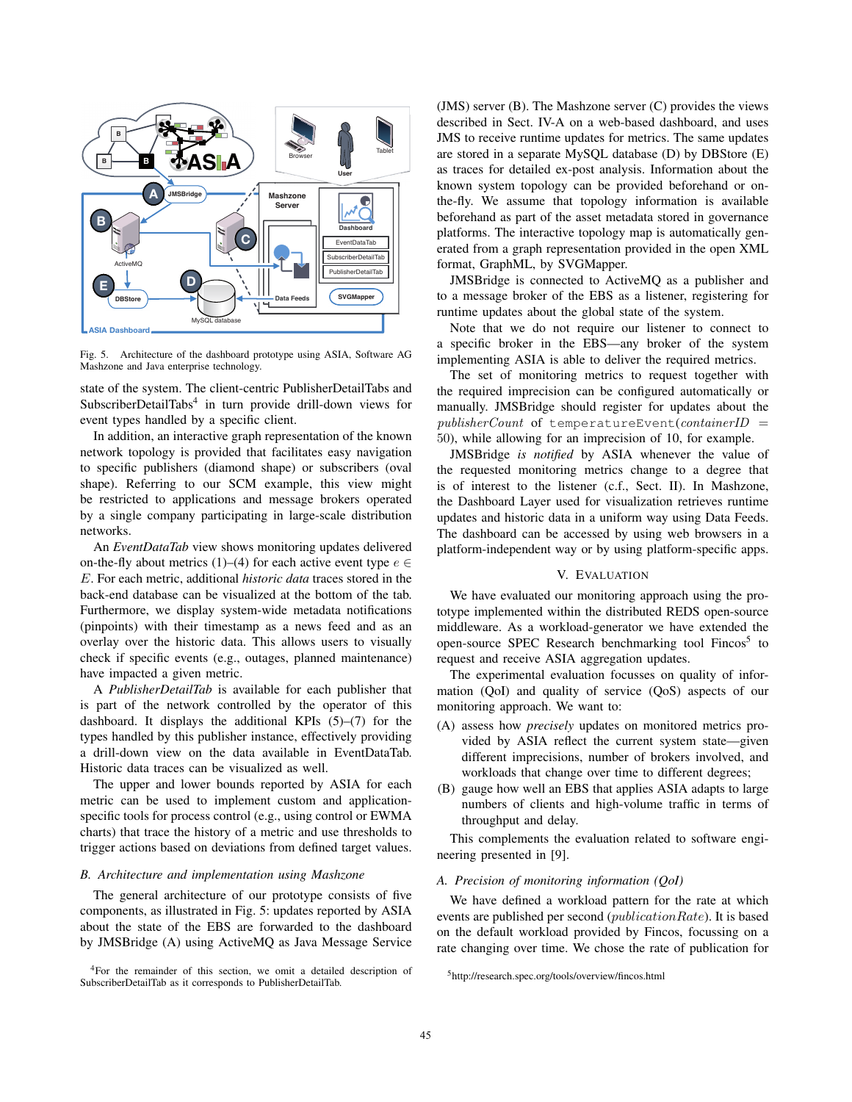

Fig. 5. Architecture of the dashboard prototype using ASIA, Software AG Mashzone and Java enterprise technology.

state of the system. The client-centric PublisherDetailTabs and SubscriberDetailTabs4 in turn provide drill-down views for event types handled by a specific client.

In addition, an interactive graph representation of the known network topology is provided that facilitates easy navigation to specific publishers (diamond shape) or subscribers (oval shape). Referring to our SCM example, this view might be restricted to applications and message brokers operated by a single company participating in large-scale distribution networks.

An *EventDataTab* view shows monitoring updates delivered on-the-fly about metrics (1)–(4) for each active event type  $e \in$ E. For each metric, additional *historic data* traces stored in the back-end database can be visualized at the bottom of the tab. Furthermore, we display system-wide metadata notifications (pinpoints) with their timestamp as a news feed and as an overlay over the historic data. This allows users to visually check if specific events (e.g., outages, planned maintenance) have impacted a given metric.

A *PublisherDetailTab* is available for each publisher that is part of the network controlled by the operator of this dashboard. It displays the additional KPIs (5)–(7) for the types handled by this publisher instance, effectively providing a drill-down view on the data available in EventDataTab. Historic data traces can be visualized as well.

The upper and lower bounds reported by ASIA for each metric can be used to implement custom and applicationspecific tools for process control (e.g., using control or EWMA charts) that trace the history of a metric and use thresholds to trigger actions based on deviations from defined target values.

# *B. Architecture and implementation using Mashzone*

The general architecture of our prototype consists of five components, as illustrated in Fig. 5: updates reported by ASIA about the state of the EBS are forwarded to the dashboard by JMSBridge (A) using ActiveMQ as Java Message Service (JMS) server (B). The Mashzone server (C) provides the views described in Sect. IV-A on a web-based dashboard, and uses JMS to receive runtime updates for metrics. The same updates are stored in a separate MySQL database (D) by DBStore (E) as traces for detailed ex-post analysis. Information about the known system topology can be provided beforehand or onthe-fly. We assume that topology information is available beforehand as part of the asset metadata stored in governance platforms. The interactive topology map is automatically generated from a graph representation provided in the open XML format, GraphML, by SVGMapper.

JMSBridge is connected to ActiveMQ as a publisher and to a message broker of the EBS as a listener, registering for runtime updates about the global state of the system.

Note that we do not require our listener to connect to a specific broker in the EBS—any broker of the system implementing ASIA is able to deliver the required metrics.

The set of monitoring metrics to request together with the required imprecision can be configured automatically or manually. JMSBridge should register for updates about the *publisherCount* of temperatureEvent(*containerID* = 50), while allowing for an imprecision of 10, for example.

JMSBridge *is notified* by ASIA whenever the value of the requested monitoring metrics change to a degree that is of interest to the listener (c.f., Sect. II). In Mashzone, the Dashboard Layer used for visualization retrieves runtime updates and historic data in a uniform way using Data Feeds. The dashboard can be accessed by using web browsers in a platform-independent way or by using platform-specific apps.

## V. EVALUATION

We have evaluated our monitoring approach using the prototype implemented within the distributed REDS open-source middleware. As a workload-generator we have extended the open-source SPEC Research benchmarking tool Fincos<sup>5</sup> to request and receive ASIA aggregation updates.

The experimental evaluation focusses on quality of information (QoI) and quality of service (QoS) aspects of our monitoring approach. We want to:

- (A) assess how *precisely* updates on monitored metrics provided by ASIA reflect the current system state—given different imprecisions, number of brokers involved, and workloads that change over time to different degrees;
- (B) gauge how well an EBS that applies ASIA adapts to large numbers of clients and high-volume traffic in terms of throughput and delay.

This complements the evaluation related to software engineering presented in [9].

## *A. Precision of monitoring information (QoI)*

We have defined a workload pattern for the rate at which events are published per second  $(publicationRate)$ . It is based on the default workload provided by Fincos, focussing on a rate changing over time. We chose the rate of publication for

<sup>4</sup>For the remainder of this section, we omit a detailed description of SubscriberDetailTab as it corresponds to PublisherDetailTab.

<sup>5</sup>http://research.spec.org/tools/overview/fincos.html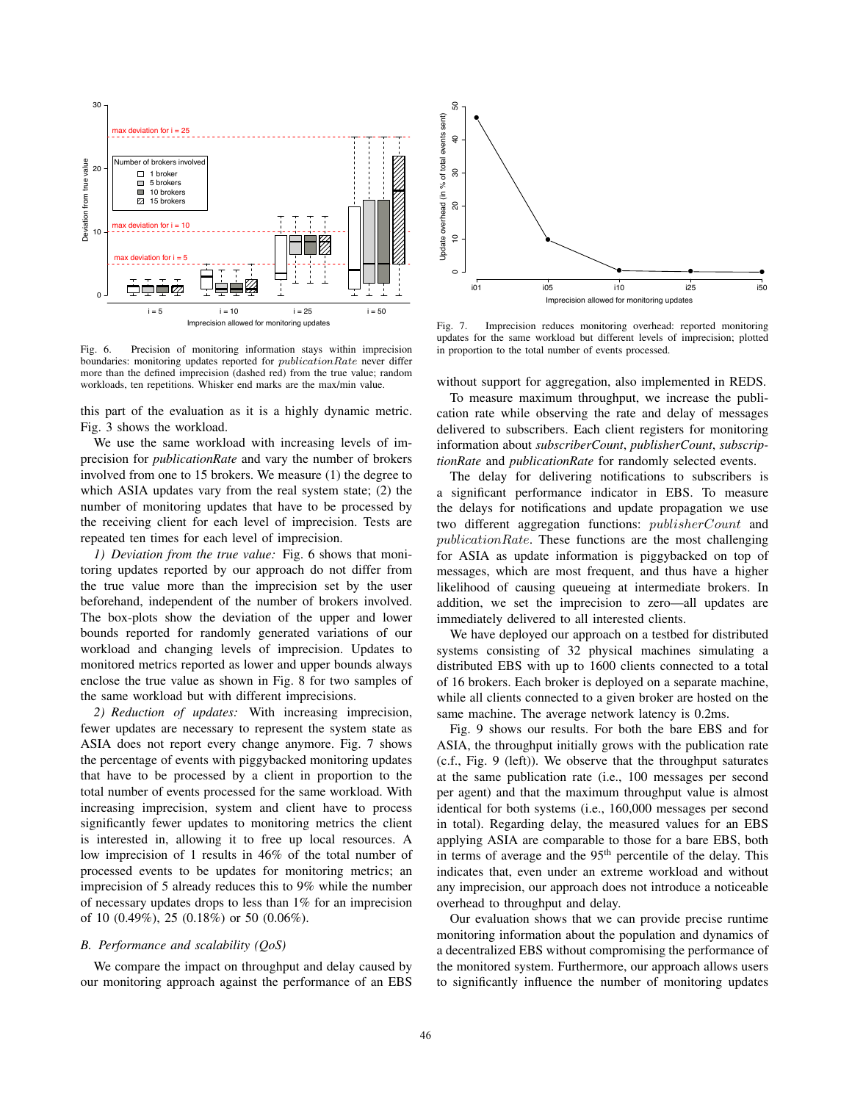

Fig. 6. Precision of monitoring information stays within imprecision boundaries: monitoring updates reported for *publicationRate* never differ more than the defined imprecision (dashed red) from the true value; random workloads, ten repetitions. Whisker end marks are the max/min value.

this part of the evaluation as it is a highly dynamic metric. Fig. 3 shows the workload.

We use the same workload with increasing levels of imprecision for *publicationRate* and vary the number of brokers involved from one to 15 brokers. We measure (1) the degree to which ASIA updates vary from the real system state; (2) the number of monitoring updates that have to be processed by the receiving client for each level of imprecision. Tests are repeated ten times for each level of imprecision.

*1) Deviation from the true value:* Fig. 6 shows that monitoring updates reported by our approach do not differ from the true value more than the imprecision set by the user beforehand, independent of the number of brokers involved. The box-plots show the deviation of the upper and lower bounds reported for randomly generated variations of our workload and changing levels of imprecision. Updates to monitored metrics reported as lower and upper bounds always enclose the true value as shown in Fig. 8 for two samples of the same workload but with different imprecisions.

*2) Reduction of updates:* With increasing imprecision, fewer updates are necessary to represent the system state as ASIA does not report every change anymore. Fig. 7 shows the percentage of events with piggybacked monitoring updates that have to be processed by a client in proportion to the total number of events processed for the same workload. With increasing imprecision, system and client have to process significantly fewer updates to monitoring metrics the client is interested in, allowing it to free up local resources. A low imprecision of 1 results in 46% of the total number of processed events to be updates for monitoring metrics; an imprecision of 5 already reduces this to 9% while the number of necessary updates drops to less than 1% for an imprecision of 10 (0.49%), 25 (0.18%) or 50 (0.06%).

### *B. Performance and scalability (QoS)*

We compare the impact on throughput and delay caused by our monitoring approach against the performance of an EBS



Fig. 7. Imprecision reduces monitoring overhead: reported monitoring updates for the same workload but different levels of imprecision; plotted in proportion to the total number of events processed.

without support for aggregation, also implemented in REDS.

To measure maximum throughput, we increase the publication rate while observing the rate and delay of messages delivered to subscribers. Each client registers for monitoring information about *subscriberCount*, *publisherCount*, *subscriptionRate* and *publicationRate* for randomly selected events.

The delay for delivering notifications to subscribers is a significant performance indicator in EBS. To measure the delays for notifications and update propagation we use two different aggregation functions: *publisherCount* and  $publicationRate$ . These functions are the most challenging for ASIA as update information is piggybacked on top of messages, which are most frequent, and thus have a higher likelihood of causing queueing at intermediate brokers. In addition, we set the imprecision to zero—all updates are immediately delivered to all interested clients.

We have deployed our approach on a testbed for distributed systems consisting of 32 physical machines simulating a distributed EBS with up to 1600 clients connected to a total of 16 brokers. Each broker is deployed on a separate machine, while all clients connected to a given broker are hosted on the same machine. The average network latency is 0.2ms.

Fig. 9 shows our results. For both the bare EBS and for ASIA, the throughput initially grows with the publication rate (c.f., Fig. 9 (left)). We observe that the throughput saturates at the same publication rate (i.e., 100 messages per second per agent) and that the maximum throughput value is almost identical for both systems (i.e., 160,000 messages per second in total). Regarding delay, the measured values for an EBS applying ASIA are comparable to those for a bare EBS, both in terms of average and the  $95<sup>th</sup>$  percentile of the delay. This indicates that, even under an extreme workload and without any imprecision, our approach does not introduce a noticeable overhead to throughput and delay.

Our evaluation shows that we can provide precise runtime monitoring information about the population and dynamics of a decentralized EBS without compromising the performance of the monitored system. Furthermore, our approach allows users to significantly influence the number of monitoring updates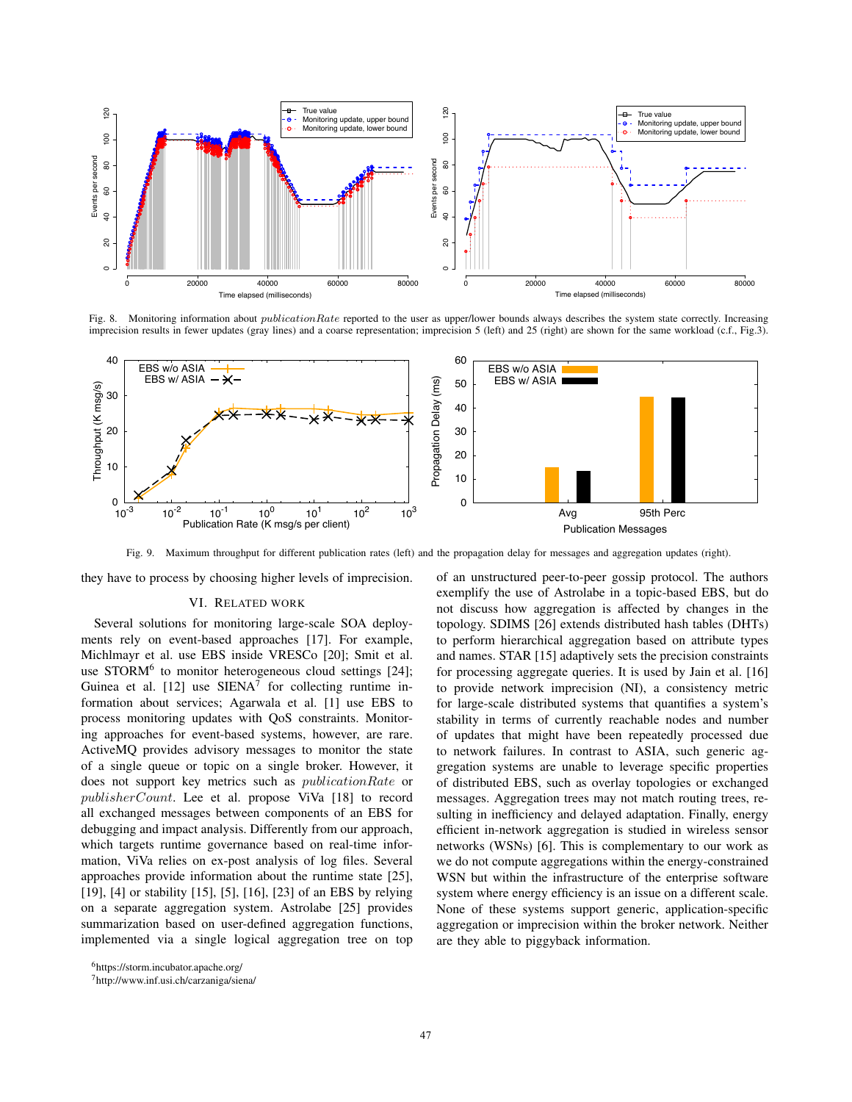

Fig. 8. Monitoring information about *publicationRate* reported to the user as upper/lower bounds always describes the system state correctly. Increasing imprecision results in fewer updates (gray lines) and a coarse representation; imprecision 5 (left) and 25 (right) are shown for the same workload (c.f., Fig.3).



Fig. 9. Maximum throughput for different publication rates (left) and the propagation delay for messages and aggregation updates (right).

they have to process by choosing higher levels of imprecision.

# VI. RELATED WORK

Several solutions for monitoring large-scale SOA deployments rely on event-based approaches [17]. For example, Michlmayr et al. use EBS inside VRESCo [20]; Smit et al. use  $STORM<sup>6</sup>$  to monitor heterogeneous cloud settings [24]; Guinea et al.  $[12]$  use SIENA<sup>7</sup> for collecting runtime information about services; Agarwala et al. [1] use EBS to process monitoring updates with QoS constraints. Monitoring approaches for event-based systems, however, are rare. ActiveMQ provides advisory messages to monitor the state of a single queue or topic on a single broker. However, it does not support key metrics such as publicationRate or publisherCount. Lee et al. propose ViVa [18] to record all exchanged messages between components of an EBS for debugging and impact analysis. Differently from our approach, which targets runtime governance based on real-time information, ViVa relies on ex-post analysis of log files. Several approaches provide information about the runtime state [25], [19], [4] or stability [15], [5], [16], [23] of an EBS by relying on a separate aggregation system. Astrolabe [25] provides summarization based on user-defined aggregation functions, implemented via a single logical aggregation tree on top of an unstructured peer-to-peer gossip protocol. The authors exemplify the use of Astrolabe in a topic-based EBS, but do not discuss how aggregation is affected by changes in the topology. SDIMS [26] extends distributed hash tables (DHTs) to perform hierarchical aggregation based on attribute types and names. STAR [15] adaptively sets the precision constraints for processing aggregate queries. It is used by Jain et al. [16] to provide network imprecision (NI), a consistency metric for large-scale distributed systems that quantifies a system's stability in terms of currently reachable nodes and number of updates that might have been repeatedly processed due to network failures. In contrast to ASIA, such generic aggregation systems are unable to leverage specific properties of distributed EBS, such as overlay topologies or exchanged messages. Aggregation trees may not match routing trees, resulting in inefficiency and delayed adaptation. Finally, energy efficient in-network aggregation is studied in wireless sensor networks (WSNs) [6]. This is complementary to our work as we do not compute aggregations within the energy-constrained WSN but within the infrastructure of the enterprise software system where energy efficiency is an issue on a different scale. None of these systems support generic, application-specific aggregation or imprecision within the broker network. Neither are they able to piggyback information.

<sup>6</sup>https://storm.incubator.apache.org/

<sup>7</sup>http://www.inf.usi.ch/carzaniga/siena/